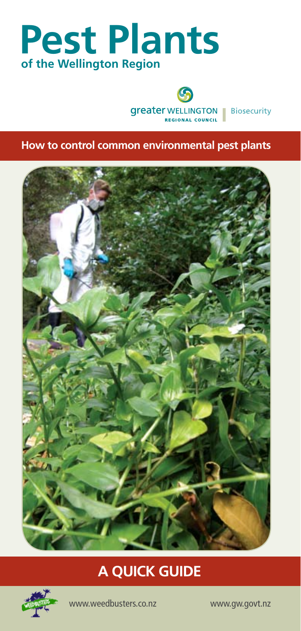# **Pest Plants of the Wellington Region**





**How to control common environmental pest plants**



## **A QUICK GUIDE**



www.weedbusters.co.nz www.gw.govt.nz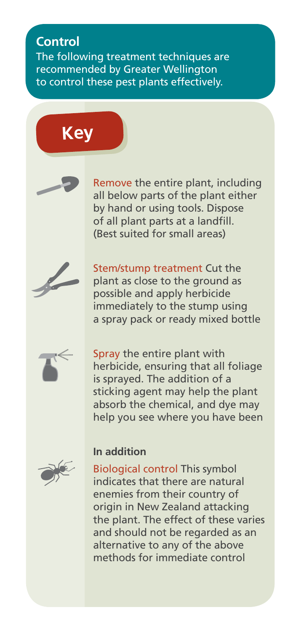## **Control**

The following treatment techniques are recommended by Greater Wellington to control these pest plants effectively.







Stem/stump treatment Cut the plant as close to the ground as possible and apply herbicide immediately to the stump using a spray pack or ready mixed bottle



Spray the entire plant with herbicide, ensuring that all foliage is sprayed. The addition of a sticking agent may help the plant absorb the chemical, and dye may help you see where you have been



## **In addition**

Biological control This symbol indicates that there are natural enemies from their country of origin in New Zealand attacking the plant. The effect of these varies and should not be regarded as an alternative to any of the above methods for immediate control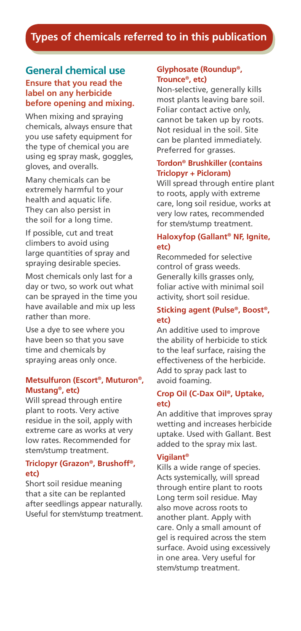## **Types of chemicals referred to in this publication**

### **General chemical use Ensure that you read the label on any herbicide before opening and mixing.**

When mixing and spraying chemicals, always ensure that you use safety equipment for the type of chemical you are using eg spray mask, goggles, gloves, and overalls.

Many chemicals can be extremely harmful to your health and aquatic life. They can also persist in the soil for a long time.

If possible, cut and treat climbers to avoid using large quantities of spray and spraying desirable species.

Most chemicals only last for a day or two, so work out what can be sprayed in the time you have available and mix up less rather than more.

Use a dye to see where you have been so that you save time and chemicals by spraying areas only once.

#### **Metsulfuron (Escort®, Muturon®, Mustang®, etc)**

Will spread through entire plant to roots. Very active residue in the soil, apply with extreme care as works at very low rates. Recommended for stem/stump treatment.

#### **Triclopyr (Grazon®, Brushoff®, etc)**

Short soil residue meaning that a site can be replanted after seedlings appear naturally. Useful for stem/stump treatment.

#### **Glyphosate (Roundup®, Trounce®, etc)**

Non-selective, generally kills most plants leaving bare soil. Foliar contact active only, cannot be taken up by roots. Not residual in the soil. Site can be planted immediately. Preferred for grasses.

### **Tordon® Brushkiller (contains Triclopyr + Picloram)**

Will spread through entire plant to roots, apply with extreme care, long soil residue, works at very low rates, recommended for stem/stump treatment.

#### **Haloxyfop (Gallant® NF, Ignite, etc)**

Recommeded for selective control of grass weeds. Generally kills grasses only, foliar active with minimal soil activity, short soil residue.

#### **Sticking agent (Pulse®, Boost®, etc)**

An additive used to improve the ability of herbicide to stick to the leaf surface, raising the effectiveness of the herbicide. Add to spray pack last to avoid foaming.

### **Crop Oil (C-Dax Oil®, Uptake, etc)**

An additive that improves spray wetting and increases herbicide uptake. Used with Gallant. Best added to the spray mix last.

#### **Vigilant®**

Kills a wide range of species. Acts systemically, will spread through entire plant to roots Long term soil residue. May also move across roots to another plant. Apply with care. Only a small amount of gel is required across the stem surface. Avoid using excessively in one area. Very useful for stem/stump treatment.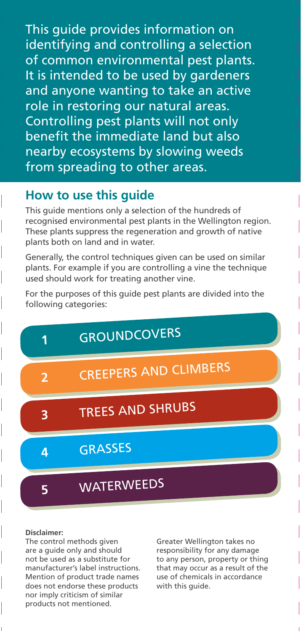This guide provides information on identifying and controlling a selection of common environmental pest plants. It is intended to be used by gardeners and anyone wanting to take an active role in restoring our natural areas. Controlling pest plants will not only benefit the immediate land but also nearby ecosystems by slowing weeds from spreading to other areas.

## **How to use this guide**

This guide mentions only a selection of the hundreds of recognised environmental pest plants in the Wellington region. These plants suppress the regeneration and growth of native plants both on land and in water.

Generally, the control techniques given can be used on similar plants. For example if you are controlling a vine the technique used should work for treating another vine.

For the purposes of this guide pest plants are divided into the following categories:



#### **Disclaimer:**

The control methods given are a guide only and should not be used as a substitute for manufacturer's label instructions. Mention of product trade names does not endorse these products nor imply criticism of similar products not mentioned.

Greater Wellington takes no responsibility for any damage to any person, property or thing that may occur as a result of the use of chemicals in accordance with this guide.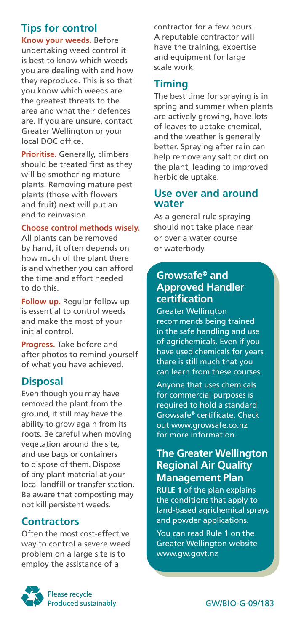## **Tips for control**

**Know your weeds.** Before undertaking weed control it is best to know which weeds you are dealing with and how they reproduce. This is so that you know which weeds are the greatest threats to the area and what their defences are. If you are unsure, contact Greater Wellington or your local DOC office.

**Prioritise.** Generally, climbers should be treated first as they will be smothering mature plants. Removing mature pest plants (those with flowers and fruit) next will put an end to reinvasion.

### **Choose control methods wisely.**

All plants can be removed by hand, it often depends on how much of the plant there is and whether you can afford the time and effort needed to do this.

**Follow up.** Regular follow up is essential to control weeds and make the most of your initial control.

**Progress.** Take before and after photos to remind yourself of what you have achieved.

### **Disposal**

Even though you may have removed the plant from the ground, it still may have the ability to grow again from its roots. Be careful when moving vegetation around the site, and use bags or containers to dispose of them. Dispose of any plant material at your local landfill or transfer station. Be aware that composting may not kill persistent weeds.

## **Contractors**

Often the most cost-effective way to control a severe weed problem on a large site is to employ the assistance of a

contractor for a few hours. A reputable contractor will have the training, expertise and equipment for large scale work.

## **Timing**

The best time for spraying is in spring and summer when plants are actively growing, have lots of leaves to uptake chemical, and the weather is generally better. Spraying after rain can help remove any salt or dirt on the plant, leading to improved herbicide uptake.

### **Use over and around water**

As a general rule spraying should not take place near or over a water course or waterbody.

## **Growsafe® and Approved Handler certification**

Greater Wellington recommends being trained in the safe handling and use of agrichemicals. Even if you have used chemicals for years there is still much that you can learn from these courses.

Anyone that uses chemicals for commercial purposes is required to hold a standard Growsafe**®** certificate. Check out www.growsafe.co.nz for more information.

## **The Greater Wellington Regional Air Quality Management Plan**

**RULE 1** of the plan explains the conditions that apply to land-based agrichemical sprays and powder applications.

You can read Rule 1 on the Greater Wellington website www.gw.govt.nz

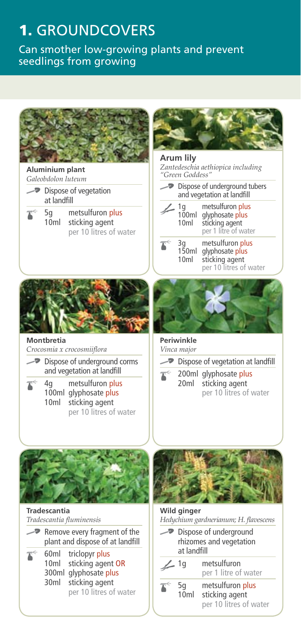## 1. GROUNDCOVERS

Can smother low-growing plants and prevent seedlings from growing

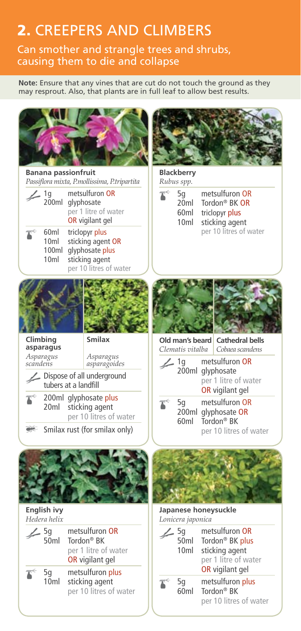## 2. CREEPERS AND CLIMBERS

Can smother and strangle trees and shrubs, causing them to die and collapse

**Note:** Ensure that any vines that are cut do not touch the ground as they may resprout. Also, that plants are in full leaf to allow best results.

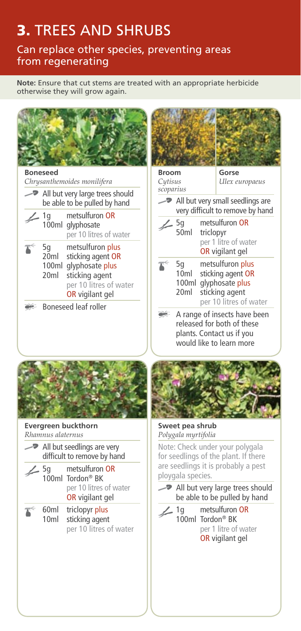## 3. Trees and shrubs

Can replace other species, preventing areas from regenerating

**Note:** Ensure that cut stems are treated with an appropriate herbicide otherwise they will grow again.

| <b>Boneseed</b>                                                                                                                                                                                                                                                                                                                 | <b>Broom</b><br>Gorse                                                                                                                                                                                                                                                                                                                                             |
|---------------------------------------------------------------------------------------------------------------------------------------------------------------------------------------------------------------------------------------------------------------------------------------------------------------------------------|-------------------------------------------------------------------------------------------------------------------------------------------------------------------------------------------------------------------------------------------------------------------------------------------------------------------------------------------------------------------|
| Chrysanthemoides monilifera<br>All but very large trees should<br>be able to be pulled by hand<br>metsulfuron OR<br>1q                                                                                                                                                                                                          | Cytisus<br>Ulex europaeus<br>scoparius<br>$\rightarrow$ All but very small seedlings are<br>very difficult to remove by hand<br>metsulfuron OR<br>5q                                                                                                                                                                                                              |
| 100ml glyphosate<br>per 10 litres of water<br>metsulfuron plus<br>5g<br>20 <sub>m</sub><br>sticking agent OR<br>100ml glyphosate plus<br>20 <sub>ml</sub><br>sticking agent<br>per 10 litres of water<br>OR vigilant gel<br>Boneseed leaf roller                                                                                | 50ml<br>triclopyr<br>per 1 litre of water<br>OR vigilant gel<br>帐<br>5g<br>metsulfuron plus<br>10ml<br>sticking agent OR<br>100ml glyphosate plus<br>20m<br>sticking agent<br>per 10 litres of water                                                                                                                                                              |
|                                                                                                                                                                                                                                                                                                                                 | A range of insects have been<br>released for both of these<br>plants. Contact us if you<br>would like to learn more                                                                                                                                                                                                                                               |
| <b>Evergreen buckthorn</b><br>Rhamnus alaternus<br>$\rightarrow$ All but seedlings are very<br>difficult to remove by hand<br>metsulfuron OR<br>5g<br>100ml Tordon <sup>®</sup> BK<br>per 10 litres of water<br><b>OR</b> vigilant gel<br>60ml<br>triclopyr plus<br>10 <sub>m</sub><br>sticking agent<br>per 10 litres of water | Sweet pea shrub<br>Polygala myrtifolia<br>Note: Check under your polygala<br>for seedlings of the plant. If there<br>are seedlings it is probably a pest<br>ploygala species.<br>All but very large trees should<br>be able to be pulled by hand<br>metsulfuron OR<br>$\sim$ 1q<br>100ml Tordon <sup>®</sup> BK<br>per 1 litre of water<br><b>OR</b> vigilant gel |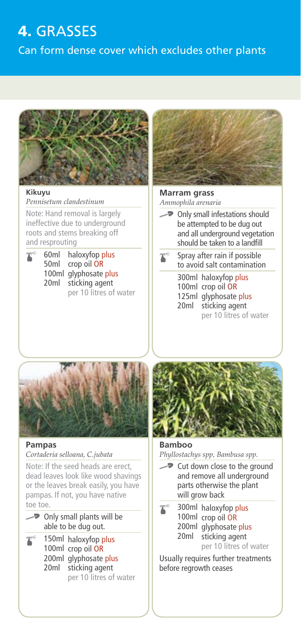## 4. GRasses

Can form dense cover which excludes other plants